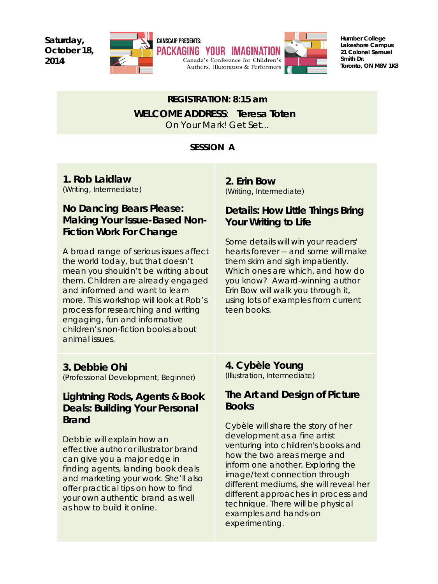**Saturday, October 18, 2014**



**Humber College Lakeshore Campus 21 Colonel Samuel Smith Dr. Toronto, ON M8V 1K8**

## *REGISTRATION: 8:15 am WELCOME ADDRES***S**: **Teresa Toten**  On Your Mark! Get Set...

#### *SESSION A*

**1. Rob Laidlaw** (Writing, Intermediate)

### **No Dancing Bears Please: Making Your Issue-Based Non-Fiction Work For Change**

A broad range of serious issues affect the world today, but that doesn't mean you shouldn't be writing about them. Children are already engaged and informed and want to learn more. This workshop will look at Rob's process for researching and writing engaging, fun and informative children's non-fiction books about animal issues.

**2. Erin Bow** (Writing, Intermediate)

#### **Details: How Little Things Bring Your Writing to Life**

Some details will win your readers' hearts forever -- and some will make them skim and sigh impatiently. Which ones are which, and how do you know? Award-winning author Erin Bow will walk you through it, using lots of examples from current teen books.

#### **3. Debbie Ohi**

(Professional Development, Beginner)

#### **Lightning Rods, Agents & Book Deals: Building Your Personal Brand**

Debbie will explain how an effective author or illustrator brand can give you a major edge in finding agents, landing book deals and marketing your work. She'll also offer practical tips on how to find your own authentic brand as well as how to build it online.

**4. Cybèle Young** (Illustration, Intermediate)

### **The Art and Design of Picture Books**

Cybèle will share the story of her development as a fine artist venturing into children's books and how the two areas merge and inform one another. Exploring the image/text connection through different mediums, she will reveal her different approaches in process and technique. There will be physical examples and hands-on experimenting.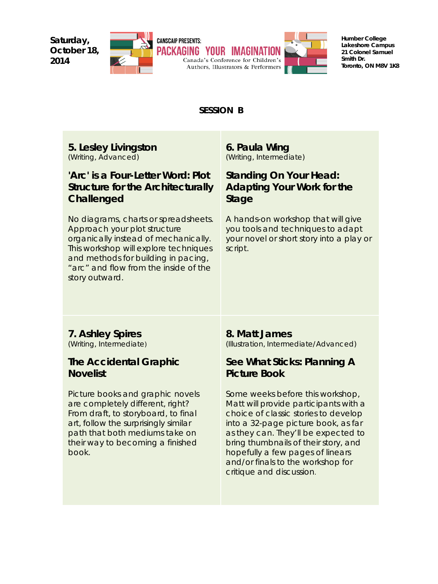**Saturday, October 18, 2014**



**Humber College Lakeshore Campus 21 Colonel Samuel Smith Dr. Toronto, ON M8V 1K8**

#### *SESSION B*

**5. Lesley Livingston** (Writing, Advanced)

### **'Arc' is a Four-Letter Word: Plot Structure for the Architecturally Challenged**

No diagrams, charts or spreadsheets. Approach your plot structure organically instead of mechanically. This workshop will explore techniques and methods for building in pacing, "arc" and flow from the inside of the story outward.

#### **6. Paula Wing** (Writing, Intermediate)

### **Standing On Your Head: Adapting Your Work for the Stage**

A hands-on workshop that will give you tools and techniques to adapt your novel or short story into a play or script.

#### **7. Ashley Spires** (Writing, Intermediate)

#### **The Accidental Graphic Novelist**

Picture books and graphic novels are completely different, right? From draft, to storyboard, to final art, follow the surprisingly similar path that both mediums take on their way to becoming a finished book.

#### **8. Matt James**

(Illustration, Intermediate/Advanced)

#### **See What Sticks: Planning A Picture Book**

Some weeks before this workshop, Matt will provide participants with a choice of classic stories to develop into a 32-page picture book, as far as they can. They'll be expected to bring thumbnails of their story, and hopefully a few pages of linears and/or finals to the workshop for critique and discussion.